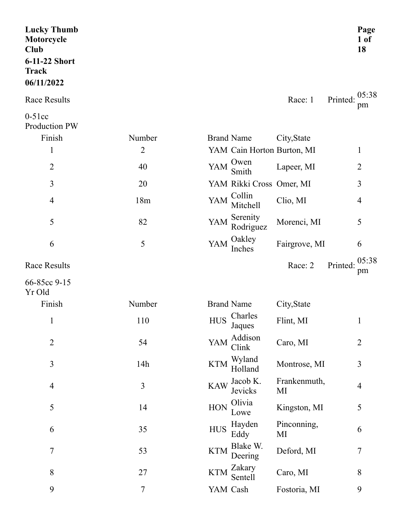| <b>Lucky Thumb</b><br>Motorcycle<br>Club<br>6-11-22 Short<br><b>Track</b><br>06/11/2022 |                |            |                            |                    | Page<br>$1$ of<br>18    |
|-----------------------------------------------------------------------------------------|----------------|------------|----------------------------|--------------------|-------------------------|
| <b>Race Results</b>                                                                     |                |            |                            | Race: 1            | 05:38<br>Printed:<br>pm |
| $0-51cc$<br>Production PW<br>Finish                                                     | Number         |            | <b>Brand Name</b>          | City, State        |                         |
| $\mathbf{1}$                                                                            | $\overline{2}$ |            | YAM Cain Horton Burton, MI |                    | 1                       |
| $\overline{2}$                                                                          | 40             | YAM        | Owen<br>Smith              | Lapeer, MI         | $\overline{2}$          |
| 3                                                                                       | 20             |            | YAM Rikki Cross Omer, MI   |                    | 3                       |
| $\overline{4}$                                                                          | 18m            | YAM        | Collin<br>Mitchell         | Clio, MI           | 4                       |
| 5                                                                                       | 82             | YAM        | Serenity<br>Rodriguez      | Morenci, MI        | 5                       |
| 6                                                                                       | 5              | YAM        | Oakley<br>Inches           | Fairgrove, MI      | 6                       |
| <b>Race Results</b>                                                                     |                |            |                            | Race: 2            | 05:38<br>Printed:<br>pm |
| 66-85cc 9-15<br>Yr Old                                                                  |                |            |                            |                    |                         |
| Finish                                                                                  | Number         |            | <b>Brand Name</b>          | City, State        |                         |
| $\mathbf{1}$                                                                            | 110            | <b>HUS</b> | Charles<br>Jaques          | Flint, MI          | $\mathbf{1}$            |
| $\overline{2}$                                                                          | 54             | YAM        | Addison<br>Clink           | Caro, MI           | $\overline{2}$          |
| 3                                                                                       | 14h            | <b>KTM</b> | Wyland<br>Holland          | Montrose, MI       | 3                       |
| $\overline{4}$                                                                          | 3              | <b>KAW</b> | Jacob K.<br>Jevicks        | Frankenmuth,<br>MI | $\overline{4}$          |
| 5                                                                                       | 14             | <b>HON</b> | Olivia<br>Lowe             | Kingston, MI       | 5                       |
| 6                                                                                       | 35             | <b>HUS</b> | Hayden<br>Eddy             | Pinconning,<br>MI  | 6                       |
| $\tau$                                                                                  | 53             | <b>KTM</b> | Blake W.<br>Deering        | Deford, MI         | 7                       |
| $\,$ $\,$                                                                               | 27             | <b>KTM</b> | Zakary<br>Sentell          | Caro, MI           | 8                       |
| 9                                                                                       | $\tau$         |            | YAM Cash                   | Fostoria, MI       | 9                       |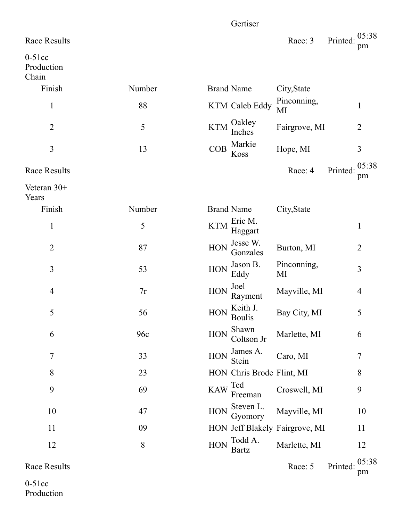|                                 |        |            | Gertiser                                                          |                                |          |                |
|---------------------------------|--------|------------|-------------------------------------------------------------------|--------------------------------|----------|----------------|
| <b>Race Results</b>             |        |            |                                                                   | Race: 3                        | Printed: | 05:38<br>pm    |
| $0-51cc$<br>Production<br>Chain |        |            |                                                                   |                                |          |                |
| Finish                          | Number |            | <b>Brand Name</b>                                                 | City, State                    |          |                |
| $\mathbf{1}$                    | 88     |            | KTM Caleb Eddy                                                    | Pinconning,<br>MI              |          | $\mathbf{1}$   |
| $\overline{2}$                  | 5      | <b>KTM</b> | Oakley<br>Inches                                                  | Fairgrove, MI                  |          | 2              |
| $\overline{3}$                  | 13     | COB        | Markie<br>Koss                                                    | Hope, MI                       |          | 3              |
| <b>Race Results</b>             |        |            |                                                                   | Race: 4                        | Printed: | 05:38<br>pm    |
| Veteran $30+$<br>Years          |        |            |                                                                   |                                |          |                |
| Finish                          | Number |            | <b>Brand Name</b>                                                 | City, State                    |          |                |
| $\mathbf{1}$                    | 5      | <b>KTM</b> | Eric M.<br>Haggart                                                |                                |          | $\mathbf{1}$   |
| $\overline{2}$                  | 87     | <b>HON</b> | Jesse W.<br>Gonzales                                              | Burton, MI                     |          | $\overline{2}$ |
| $\overline{3}$                  | 53     | <b>HON</b> | Jason B.<br>Eddy                                                  | Pinconning,<br>MI              |          | 3              |
| $\overline{4}$                  | 7r     | <b>HON</b> | Joel<br>Rayment                                                   | Mayville, MI                   |          | 4              |
| 5                               | 56     |            | $HON \nightharpoonup^{\text{Keith J.}}_{\Gamma}$<br><b>Boulis</b> | Bay City, MI                   |          | 5              |
| 6                               | 96c    | <b>HON</b> | Shawn<br>Coltson Jr                                               | Marlette, MI                   |          | 6              |
| $\overline{7}$                  | 33     | <b>HON</b> | James A.<br>Stein                                                 | Caro, MI                       |          | 7              |
| 8                               | 23     |            | HON Chris Brode Flint, MI                                         |                                |          | 8              |
| 9                               | 69     | <b>KAW</b> | Ted<br>Freeman                                                    | Croswell, MI                   |          | 9              |
| 10                              | 47     | HON        | Steven L.<br>Gyomory                                              | Mayville, MI                   |          | 10             |
| 11                              | 09     |            |                                                                   | HON Jeff Blakely Fairgrove, MI |          | 11             |
| 12                              | 8      | <b>HON</b> | Todd A.<br><b>Bartz</b>                                           | Marlette, MI                   |          | 12             |
| <b>Race Results</b>             |        |            |                                                                   | Race: 5                        | Printed: | 05:38<br>pm    |

0-51cc Production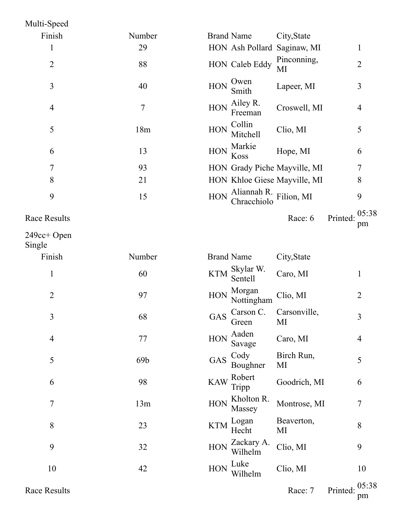| Multi-Speed         |        |                                                        |                |
|---------------------|--------|--------------------------------------------------------|----------------|
| Finish              | Number | <b>Brand Name</b><br>City, State                       |                |
|                     | 29     | HON Ash Pollard Saginaw, MI                            |                |
| $\overline{2}$      | 88     | Pinconning,<br>HON Caleb Eddy<br>MI                    | $\overline{2}$ |
| 3                   | 40     | Owen<br><b>HON</b><br>Lapeer, MI<br>Smith              | 3              |
| $\overline{4}$      | 7      | Ailey R.<br>HON<br>Croswell, MI<br>Freeman             | $\overline{4}$ |
| 5                   | 18m    | Collin<br>HON<br>Clio, MI<br>Mitchell                  | 5              |
| 6                   | 13     | Markie<br>HON<br>Hope, MI<br>Koss                      | 6              |
| 7                   | 93     | HON Grady Piche Mayville, MI                           | 7              |
| 8                   | 21     | HON Khloe Giese Mayville, MI                           | 8              |
| 9                   | 15     | Aliannah R.<br>Filion, MI<br><b>HON</b><br>Chracchiolo | 9              |
| <b>Race Results</b> |        | Printed:<br>Race: 6                                    | 05:38<br>nm    |

249cc+ Open

Single Finish Number Brand Name City, State 1 60 KTM Skylar W. Caro, MI 1 2 97 HON  $Morgan$ Nottingham Clio, MI 2  $3 \t\t 68 \t\t GAS \t Carson C.$ Green Carsonville, MI 3 4 77 HON Aaden Aaden<br>Savage Caro, MI 4  $5$  69b GAS Cody Boughner Birch Run, MI 5 6 98 KAW Tripp Robert Goodrich, MI 6 7 13m HON Kholton R.<br>
13m HON Massey Montrose, MI 7  $8 \t\t\t 23 \t\t KTM$   $\frac{\text{Logan}}{\text{U}_2}$ Hecht Beaverton, MI 8 9 32 32 HON Zackary A. Clio, MI 9 10 42 HON Luke Clio, MI 10

pm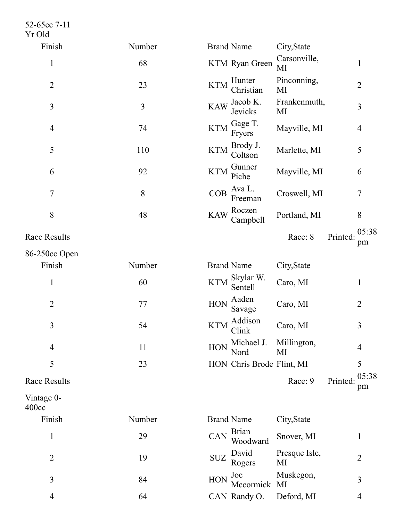52-65cc 7-1 1 Yr Old

| Finish              | Number | <b>Brand Name</b><br>City, State                                         |
|---------------------|--------|--------------------------------------------------------------------------|
| $\mathbf{1}$        | 68     | Carsonville,<br>KTM Ryan Green<br>$\mathbf{1}$<br>MI                     |
| $\overline{2}$      | 23     | Pinconning,<br>Hunter<br><b>KTM</b><br>$\overline{2}$<br>Christian<br>MI |
| $\mathfrak{Z}$      | 3      | Frankenmuth,<br>Jacob K.<br><b>KAW</b><br>3<br>Jevicks<br>MI             |
| $\overline{4}$      | 74     | Gage T.<br><b>KTM</b><br>Mayville, MI<br>$\overline{4}$<br>Fryers        |
| 5                   | 110    | Brody J.<br><b>KTM</b><br>Marlette, MI<br>5<br>Coltson                   |
| 6                   | 92     | Gunner<br><b>KTM</b><br>Mayville, MI<br>6<br>Piche                       |
| $\tau$              | 8      | Ava L.<br>COB<br>$\tau$<br>Croswell, MI<br>Freeman                       |
| 8                   | 48     | Roczen<br><b>KAW</b><br>Portland, MI<br>8<br>Campbell                    |
| Race Results        |        | 05:38<br>Race: 8<br>Printed:<br>pm                                       |
| 86-250cc Open       |        |                                                                          |
| Finish              | Number | <b>Brand Name</b><br>City, State                                         |
| 1                   | 60     | Skylar W.<br><b>KTM</b><br>Caro, MI<br>$\mathbf{1}$<br>Sentell           |
| $\overline{2}$      | 77     | Aaden<br><b>HON</b><br>Caro, MI<br>$\overline{2}$<br>Savage              |
| 3                   | 54     | Addison<br><b>KTM</b><br>3<br>Caro, MI<br>Clink                          |
| 4                   | 11     | Michael J.<br>Millington,<br><b>HON</b><br>4<br>Nord<br>MI               |
| 5                   | 23     | 5<br>HON Chris Brode Flint, MI                                           |
| <b>Race Results</b> |        | 05:38<br>Race: 9<br>Printed:<br>pm                                       |
| Vintage 0-<br>400cc |        |                                                                          |
| Finish              | Number | <b>Brand Name</b><br>City, State                                         |
| $\mathbf{1}$        | 29     | <b>Brian</b><br>CAN<br>Snover, MI<br>$\mathbf{1}$<br>Woodward            |

Presque Isle,

Muskegon,

2

3

4

MI

2 19 SUZ David<br>
19 SUZ Rogers

3 84 HON Joe Mu

4 64 CAN Randy O. Deford, MI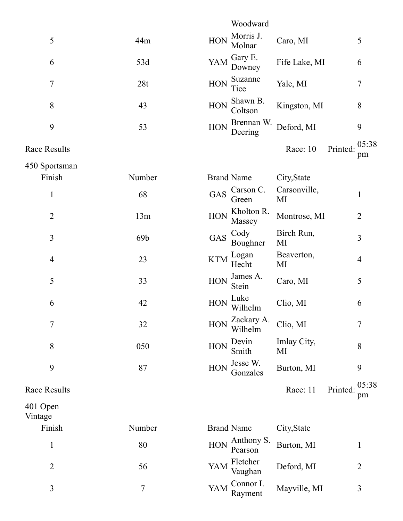|                     |                 | Woodward                                               |                |
|---------------------|-----------------|--------------------------------------------------------|----------------|
| 5                   | 44m             | Morris J.<br><b>HON</b><br>Caro, MI<br>Molnar          | 5              |
| 6                   | 53d             | Gary E.<br>YAM<br>Fife Lake, MI<br>Downey              | 6              |
| $\overline{7}$      | 28t             | Suzanne<br><b>HON</b><br>Yale, MI<br>Tice              | 7              |
| 8                   | 43              | Shawn B.<br>HON<br>Kingston, MI<br>Coltson             | 8              |
| 9                   | 53              | Brennan W.<br><b>HON</b><br>Deford, MI<br>Deering      | 9              |
| Race Results        |                 | Printed:<br>Race: 10                                   | 05:38<br>pm    |
| 450 Sportsman       |                 |                                                        |                |
| Finish              | Number          | <b>Brand Name</b><br>City, State                       |                |
| $\mathbf{1}$        | 68              | Carsonville,<br>Carson C.<br><b>GAS</b><br>MI<br>Green | 1              |
| $\overline{2}$      | 13m             | Kholton R.<br>HON<br>Montrose, MI<br>Massey            | $\overline{2}$ |
| 3                   | 69 <sub>b</sub> | Cody<br>Birch Run,<br>GAS<br>Boughner<br>MI            | 3              |
| $\overline{4}$      | 23              | Logan<br>Beaverton,<br><b>KTM</b><br>Hecht<br>MI       | $\overline{4}$ |
| 5                   | 33              | James A.<br><b>HON</b><br>Caro, MI<br>Stein            | 5              |
| 6                   | 42              | Luke<br>Clio, MI<br><b>HON</b><br>Wilhelm              | 6              |
| 7                   | 32              | Zackary A.<br>Clio, MI<br>HON<br>Wilhelm               | 7              |
| 8                   | 050             | Devin<br>Imlay City,<br><b>HON</b><br>Smith<br>MI      | 8              |
| 9                   | 87              | Jesse W.<br><b>HON</b><br>Burton, MI<br>Gonzales       | 9              |
| <b>Race Results</b> |                 | Race: 11<br>Printed:                                   | 05:38<br>pm    |
| 401 Open<br>Vintage |                 |                                                        |                |
| Finish              | Number          | <b>Brand Name</b><br>City, State                       |                |
| $\mathbf 1$         | 80              | Anthony S.<br><b>HON</b><br>Burton, MI<br>Pearson      | 1              |
| $\overline{2}$      | 56              | Fletcher<br>Deford, MI<br>YAM<br>Vaughan               | 2              |
| 3                   | $\tau$          | Connor I.<br>YAM<br>Mayville, MI<br>Rayment            | 3              |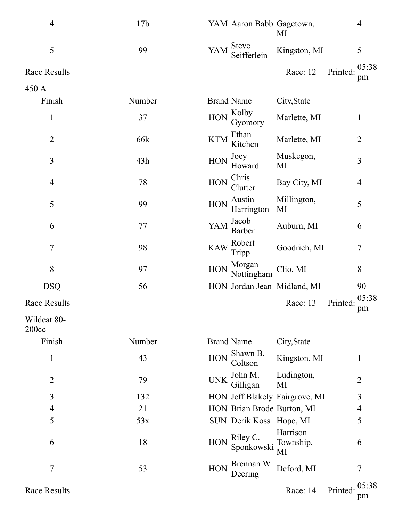| $\overline{4}$       | 17 <sub>b</sub> | YAM Aaron Babb Gagetown,            | MI                             | $\overline{4}$          |
|----------------------|-----------------|-------------------------------------|--------------------------------|-------------------------|
| 5                    | 99              | <b>Steve</b><br>YAM<br>Seifferlein  | Kingston, MI                   | 5                       |
| <b>Race Results</b>  |                 |                                     | Race: 12                       | 05:38<br>Printed:<br>pm |
| 450 A                |                 |                                     |                                |                         |
| Finish               | Number          | <b>Brand Name</b>                   | City, State                    |                         |
| $\mathbf{1}$         | 37              | Kolby<br><b>HON</b><br>Gyomory      | Marlette, MI                   | 1                       |
| $\overline{2}$       | 66k             | Ethan<br><b>KTM</b><br>Kitchen      | Marlette, MI                   | $\overline{2}$          |
| 3                    | 43h             | Joey<br><b>HON</b><br>Howard        | Muskegon,<br>MI                | 3                       |
| 4                    | 78              | Chris<br>$\rm HON$<br>Clutter       | Bay City, MI                   | $\overline{4}$          |
| 5                    | 99              | Austin<br><b>HON</b><br>Harrington  | Millington,<br>MI              | 5                       |
| 6                    | 77              | Jacob<br>YAM<br>Barber              | Auburn, MI                     | 6                       |
| $\tau$               | 98              | Robert<br><b>KAW</b><br>Tripp       | Goodrich, MI                   | $\tau$                  |
| 8                    | 97              | Morgan<br><b>HON</b><br>Nottingham  | Clio, MI                       | 8                       |
| <b>DSQ</b>           | 56              |                                     | HON Jordan Jean Midland, MI    | 90                      |
| <b>Race Results</b>  |                 |                                     | Race: 13                       | 05:38<br>Printed:<br>pm |
| Wildcat 80-<br>200cc |                 |                                     |                                |                         |
| Finish               | Number          | <b>Brand Name</b>                   | City, State                    |                         |
| 1                    | 43              | Shawn B.<br><b>HON</b><br>Coltson   | Kingston, MI                   | 1                       |
| $\overline{2}$       | 79              | John M.<br><b>UNK</b><br>Gilligan   | Ludington,<br>MI               | 2                       |
| 3                    | 132             |                                     | HON Jeff Blakely Fairgrove, MI | 3                       |
| 4                    | 21              | HON Brian Brode Burton, MI          |                                | 4                       |
| 5                    | 53x             | SUN Derik Koss Hope, MI             |                                | 5                       |
| 6                    | 18              | Riley C.<br>HON<br>Sponkowski       | Harrison<br>Township,<br>MI    | 6                       |
| 7                    | 53              | Brennan W.<br><b>HON</b><br>Deering | Deford, MI                     | 7                       |
| <b>Race Results</b>  |                 |                                     | Race: 14                       | 05:38<br>Printed<br>pm  |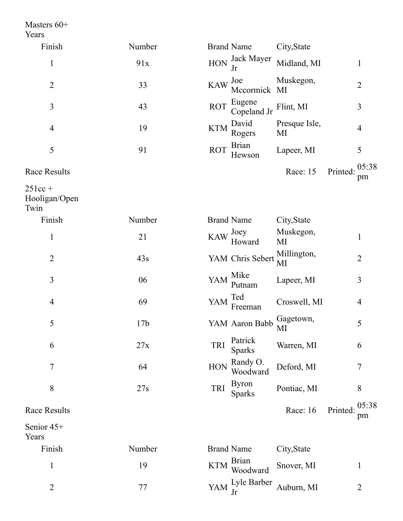Masters 60+ Years

| Finish         | Number |            | <b>Brand Name</b>                   | City, State                |          |                |
|----------------|--------|------------|-------------------------------------|----------------------------|----------|----------------|
| 1              | 91x    |            |                                     | HON Jack Mayer Midland, MI |          |                |
| $\overline{2}$ | 33     |            | KAW Joe Muskegon,<br>Mccormick MI   |                            |          | $\overline{2}$ |
| 3              | 43     |            | ROT Eugene<br>Copeland Jr Flint, MI |                            |          | 3              |
| $\overline{4}$ | 19     | <b>KTM</b> | David<br>Rogers                     | Presque Isle,<br>MI        |          | $\overline{4}$ |
| 5              | 91     | <b>ROT</b> | Brian<br>Hewson                     | Lapeer, MI                 |          | 5              |
| Race Results   |        |            |                                     | Race: 15                   | Printed: | 05:38<br>pm    |

2

 $251cc +$ Hooligan/Open

2 77

Twin

| Finish              | Number          | <b>Brand Name</b>                           | City, State       |                         |
|---------------------|-----------------|---------------------------------------------|-------------------|-------------------------|
| $\mathbf{1}$        | 21              | Joey<br><b>KAW</b><br>Howard                | Muskegon,<br>MI   | $\mathbf{1}$            |
| $\overline{2}$      | 43s             | YAM Chris Sebert                            | Millington,<br>MI | $\overline{2}$          |
| $\overline{3}$      | 06              | Mike<br>YAM<br>Putnam                       | Lapeer, MI        | 3                       |
| $\overline{4}$      | 69              | Ted<br>YAM<br>Freeman                       | Croswell, MI      | $\overline{4}$          |
| 5                   | 17 <sub>b</sub> | YAM Aaron Babb                              | Gagetown,<br>MI   | 5                       |
| 6                   | 27x             | Patrick<br><b>TRI</b><br><b>Sparks</b>      | Warren, MI        | 6                       |
| 7                   | 64              | Randy O.<br><b>HON</b><br>Woodward          | Deford, MI        | $\tau$                  |
| 8                   | 27s             | <b>Byron</b><br><b>TRI</b><br><b>Sparks</b> | Pontiac, MI       | 8                       |
| Race Results        |                 |                                             | Race: 16          | 05:38<br>Printed:<br>pm |
| Senior 45+<br>Years |                 |                                             |                   |                         |
| Finish              | Number          | <b>Brand Name</b>                           | City, State       |                         |
| $\mathbf{1}$        | 19              | <b>Brian</b><br><b>KTM</b><br>Woodward      | Snover, MI        | $\mathbf{1}$            |

YAM Lyle Barber Auburn, MI